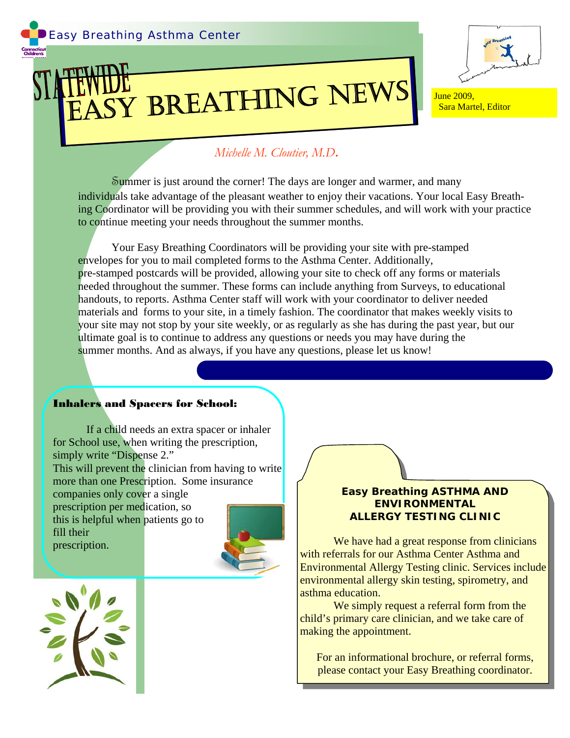# ASY BREATHING NEWS IF JUne 2009,



Sara Martel, Editor

## *Michelle M. Cloutier, M.D***.**

Summer is just around the corner! The days are longer and warmer, and many individuals take advantage of the pleasant weather to enjoy their vacations. Your local Easy Breathing Coordinator will be providing you with their summer schedules, and will work with your practice to continue meeting your needs throughout the summer months.

 Your Easy Breathing Coordinators will be providing your site with pre-stamped envelopes for you to mail completed forms to the Asthma Center. Additionally, pre-stamped postcards will be provided, allowing your site to check off any forms or materials needed throughout the summer. These forms can include anything from Surveys, to educational handouts, to reports. Asthma Center staff will work with your coordinator to deliver needed materials and forms to your site, in a timely fashion. The coordinator that makes weekly visits to your site may not stop by your site weekly, or as regularly as she has during the past year, but our ultimate goal is to continue to address any questions or needs you may have during the summer months. And as always, if you have any questions, please let us know!

#### Inhalers and Spacers for School:

If a child needs an extra spacer or inhaler for School use, when writing the prescription, simply write "Dispense 2." This will prevent the clinician from having to write more than one Prescription. Some insurance companies only cover a single prescription per medication, so this is helpful when patients go to fill their prescription.



#### *Easy Breathing* **ASTHMA AND ENVIRONMENTAL ALLERGY TESTING CLINIC**

We have had a great response from clinicians with referrals for our Asthma Center Asthma and Environmental Allergy Testing clinic. Services include environmental allergy skin testing, spirometry, and asthma education.

We simply request a referral form from the child's primary care clinician, and we take care of making the appointment.

For an informational brochure, or referral forms, please contact your Easy Breathing coordinator.